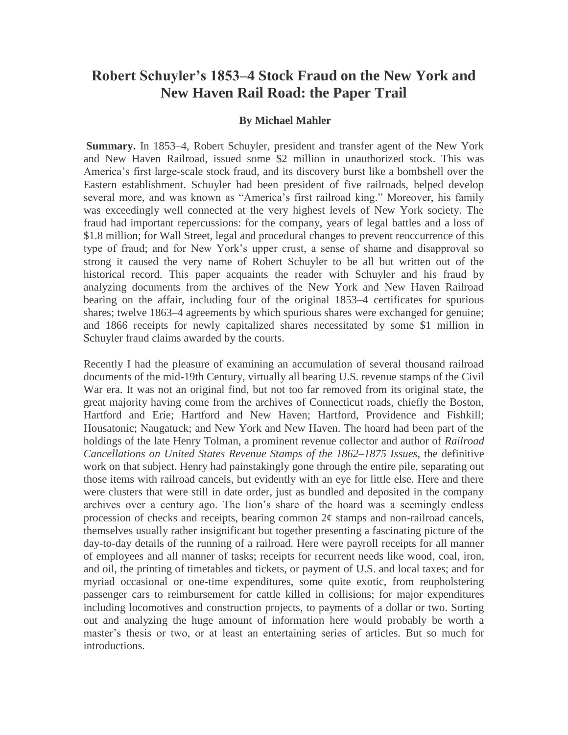# **Robert Schuyler's 1853–4 Stock Fraud on the New York and New Haven Rail Road: the Paper Trail**

### **By Michael Mahler**

**Summary.** In 1853–4, Robert Schuyler, president and transfer agent of the New York and New Haven Railroad, issued some \$2 million in unauthorized stock. This was America's first large-scale stock fraud, and its discovery burst like a bombshell over the Eastern establishment. Schuyler had been president of five railroads, helped develop several more, and was known as "America's first railroad king." Moreover, his family was exceedingly well connected at the very highest levels of New York society. The fraud had important repercussions: for the company, years of legal battles and a loss of \$1.8 million; for Wall Street, legal and procedural changes to prevent reoccurrence of this type of fraud; and for New York's upper crust, a sense of shame and disapproval so strong it caused the very name of Robert Schuyler to be all but written out of the historical record. This paper acquaints the reader with Schuyler and his fraud by analyzing documents from the archives of the New York and New Haven Railroad bearing on the affair, including four of the original 1853–4 certificates for spurious shares; twelve 1863–4 agreements by which spurious shares were exchanged for genuine; and 1866 receipts for newly capitalized shares necessitated by some \$1 million in Schuyler fraud claims awarded by the courts.

Recently I had the pleasure of examining an accumulation of several thousand railroad documents of the mid-19th Century, virtually all bearing U.S. revenue stamps of the Civil War era. It was not an original find, but not too far removed from its original state, the great majority having come from the archives of Connecticut roads, chiefly the Boston, Hartford and Erie; Hartford and New Haven; Hartford, Providence and Fishkill; Housatonic; Naugatuck; and New York and New Haven. The hoard had been part of the holdings of the late Henry Tolman, a prominent revenue collector and author of *Railroad Cancellations on United States Revenue Stamps of the 1862–1875 Issues,* the definitive work on that subject. Henry had painstakingly gone through the entire pile, separating out those items with railroad cancels, but evidently with an eye for little else. Here and there were clusters that were still in date order, just as bundled and deposited in the company archives over a century ago. The lion's share of the hoard was a seemingly endless procession of checks and receipts, bearing common  $2¢$  stamps and non-railroad cancels, themselves usually rather insignificant but together presenting a fascinating picture of the day-to-day details of the running of a railroad. Here were payroll receipts for all manner of employees and all manner of tasks; receipts for recurrent needs like wood, coal, iron, and oil, the printing of timetables and tickets, or payment of U.S. and local taxes; and for myriad occasional or one-time expenditures, some quite exotic, from reupholstering passenger cars to reimbursement for cattle killed in collisions; for major expenditures including locomotives and construction projects, to payments of a dollar or two. Sorting out and analyzing the huge amount of information here would probably be worth a master's thesis or two, or at least an entertaining series of articles. But so much for introductions.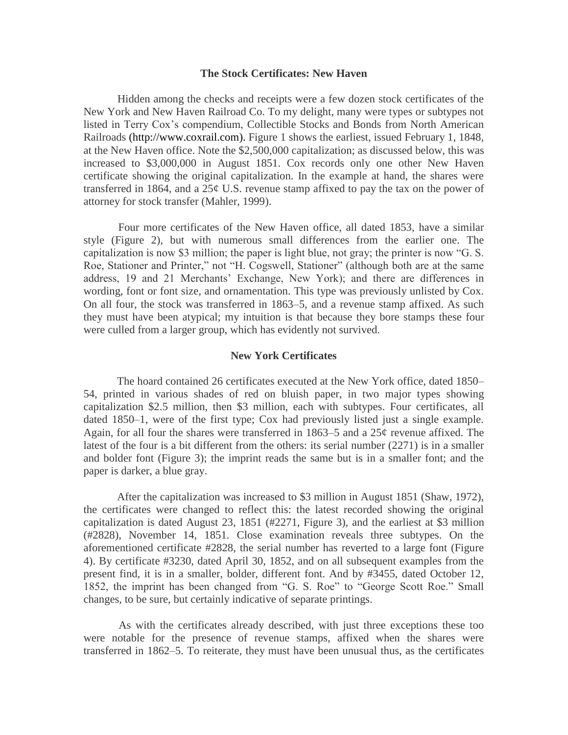#### **The Stock Certificates: New Haven**

 Hidden among the checks and receipts were a few dozen stock certificates of the New York and New Haven Railroad Co. To my delight, many were types or subtypes not listed in Terry Cox's compendium, Collectible Stocks and Bonds from North American Railroads [\(http://www.coxrail.com\)](http://www.coxrail.com/). Figure 1 shows the earliest, issued February 1, 1848, at the New Haven office. Note the \$2,500,000 capitalization; as discussed below, this was increased to \$3,000,000 in August 1851. Cox records only one other New Haven certificate showing the original capitalization. In the example at hand, the shares were transferred in 1864, and a  $25¢$  U.S. revenue stamp affixed to pay the tax on the power of attorney for stock transfer (Mahler, 1999).

 Four more certificates of the New Haven office, all dated 1853, have a similar style (Figure 2), but with numerous small differences from the earlier one. The capitalization is now \$3 million; the paper is light blue, not gray; the printer is now "G. S. Roe, Stationer and Printer," not "H. Cogswell, Stationer" (although both are at the same address, 19 and 21 Merchants' Exchange, New York); and there are differences in wording, font or font size, and ornamentation. This type was previously unlisted by Cox. On all four, the stock was transferred in 1863–5, and a revenue stamp affixed. As such they must have been atypical; my intuition is that because they bore stamps these four were culled from a larger group, which has evidently not survived.

#### **New York Certificates**

 The hoard contained 26 certificates executed at the New York office, dated 1850– 54, printed in various shades of red on bluish paper, in two major types showing capitalization \$2.5 million, then \$3 million, each with subtypes. Four certificates, all dated 1850–1, were of the first type; Cox had previously listed just a single example. Again, for all four the shares were transferred in 1863–5 and a 25¢ revenue affixed. The latest of the four is a bit different from the others: its serial number (2271) is in a smaller and bolder font (Figure 3); the imprint reads the same but is in a smaller font; and the paper is darker, a blue gray.

 After the capitalization was increased to \$3 million in August 1851 (Shaw, 1972), the certificates were changed to reflect this: the latest recorded showing the original capitalization is dated August 23, 1851 (#2271, Figure 3), and the earliest at \$3 million (#2828), November 14, 1851. Close examination reveals three subtypes. On the aforementioned certificate #2828, the serial number has reverted to a large font (Figure 4). By certificate #3230, dated April 30, 1852, and on all subsequent examples from the present find, it is in a smaller, bolder, different font. And by #3455, dated October 12, 1852, the imprint has been changed from "G. S. Roe" to "George Scott Roe." Small changes, to be sure, but certainly indicative of separate printings.

 As with the certificates already described, with just three exceptions these too were notable for the presence of revenue stamps, affixed when the shares were transferred in 1862–5. To reiterate, they must have been unusual thus, as the certificates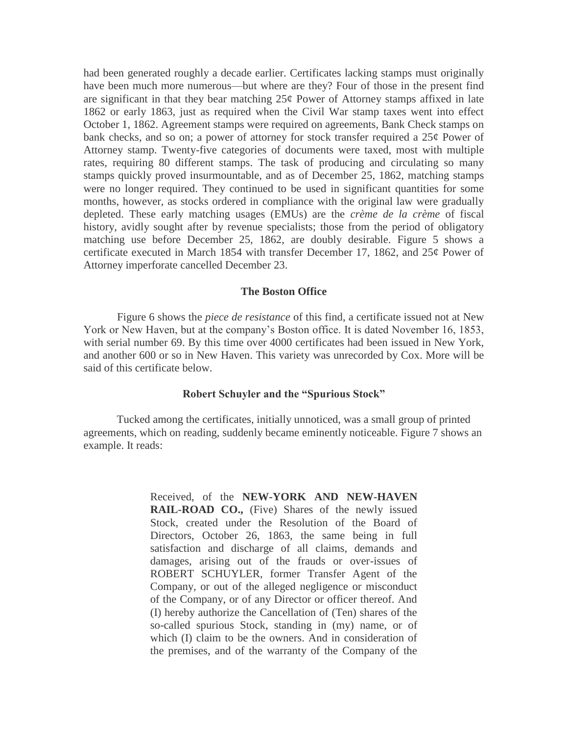had been generated roughly a decade earlier. Certificates lacking stamps must originally have been much more numerous—but where are they? Four of those in the present find are significant in that they bear matching  $25¢$  Power of Attorney stamps affixed in late 1862 or early 1863, just as required when the Civil War stamp taxes went into effect October 1, 1862. Agreement stamps were required on agreements, Bank Check stamps on bank checks, and so on; a power of attorney for stock transfer required a 25¢ Power of Attorney stamp. Twenty-five categories of documents were taxed, most with multiple rates, requiring 80 different stamps. The task of producing and circulating so many stamps quickly proved insurmountable, and as of December 25, 1862, matching stamps were no longer required. They continued to be used in significant quantities for some months, however, as stocks ordered in compliance with the original law were gradually depleted. These early matching usages (EMUs) are the *crème de la crème* of fiscal history, avidly sought after by revenue specialists; those from the period of obligatory matching use before December 25, 1862, are doubly desirable. Figure 5 shows a certificate executed in March 1854 with transfer December 17, 1862, and 25¢ Power of Attorney imperforate cancelled December 23.

#### **The Boston Office**

 Figure 6 shows the *piece de resistance* of this find, a certificate issued not at New York or New Haven, but at the company's Boston office. It is dated November 16, 1853, with serial number 69. By this time over 4000 certificates had been issued in New York, and another 600 or so in New Haven. This variety was unrecorded by Cox. More will be said of this certificate below.

## **Robert Schuyler and the "Spurious Stock"**

 Tucked among the certificates, initially unnoticed, was a small group of printed agreements, which on reading, suddenly became eminently noticeable. Figure 7 shows an example. It reads:

> Received, of the **NEW-YORK AND NEW-HAVEN RAIL-ROAD CO.,** (Five) Shares of the newly issued Stock, created under the Resolution of the Board of Directors, October 26, 1863, the same being in full satisfaction and discharge of all claims, demands and damages, arising out of the frauds or over-issues of ROBERT SCHUYLER, former Transfer Agent of the Company, or out of the alleged negligence or misconduct of the Company, or of any Director or officer thereof. And (I) hereby authorize the Cancellation of (Ten) shares of the so-called spurious Stock, standing in (my) name, or of which (I) claim to be the owners. And in consideration of the premises, and of the warranty of the Company of the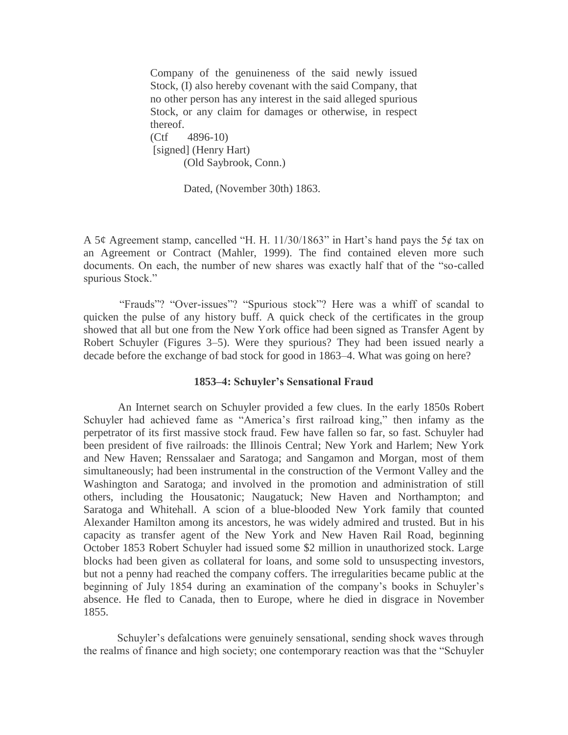Company of the genuineness of the said newly issued Stock, (I) also hereby covenant with the said Company, that no other person has any interest in the said alleged spurious Stock, or any claim for damages or otherwise, in respect thereof. (Ctf 4896-10) [signed] (Henry Hart)

(Old Saybrook, Conn.)

Dated, (November 30th) 1863.

A 5¢ Agreement stamp, cancelled "H. H. 11/30/1863" in Hart's hand pays the 5¢ tax on an Agreement or Contract (Mahler, 1999). The find contained eleven more such documents. On each, the number of new shares was exactly half that of the "so-called spurious Stock."

 "Frauds"? "Over-issues"? "Spurious stock"? Here was a whiff of scandal to quicken the pulse of any history buff. A quick check of the certificates in the group showed that all but one from the New York office had been signed as Transfer Agent by Robert Schuyler (Figures 3–5). Were they spurious? They had been issued nearly a decade before the exchange of bad stock for good in 1863–4. What was going on here?

#### **1853–4: Schuyler's Sensational Fraud**

 An Internet search on Schuyler provided a few clues. In the early 1850s Robert Schuyler had achieved fame as "America's first railroad king," then infamy as the perpetrator of its first massive stock fraud. Few have fallen so far, so fast. Schuyler had been president of five railroads: the Illinois Central; New York and Harlem; New York and New Haven; Renssalaer and Saratoga; and Sangamon and Morgan, most of them simultaneously; had been instrumental in the construction of the Vermont Valley and the Washington and Saratoga; and involved in the promotion and administration of still others, including the Housatonic; Naugatuck; New Haven and Northampton; and Saratoga and Whitehall. A scion of a blue-blooded New York family that counted Alexander Hamilton among its ancestors, he was widely admired and trusted. But in his capacity as transfer agent of the New York and New Haven Rail Road, beginning October 1853 Robert Schuyler had issued some \$2 million in unauthorized stock. Large blocks had been given as collateral for loans, and some sold to unsuspecting investors, but not a penny had reached the company coffers. The irregularities became public at the beginning of July 1854 during an examination of the company's books in Schuyler's absence. He fled to Canada, then to Europe, where he died in disgrace in November 1855.

 Schuyler's defalcations were genuinely sensational, sending shock waves through the realms of finance and high society; one contemporary reaction was that the "Schuyler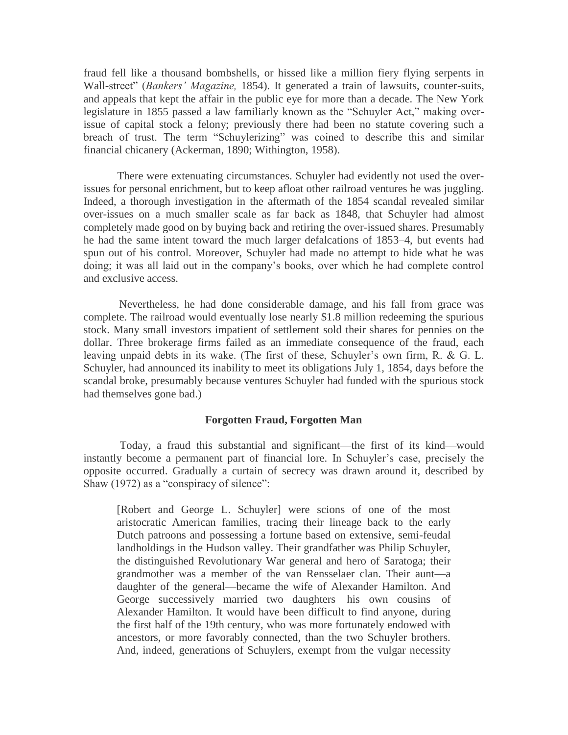fraud fell like a thousand bombshells, or hissed like a million fiery flying serpents in Wall-street" (*Bankers' Magazine,* 1854). It generated a train of lawsuits, counter-suits, and appeals that kept the affair in the public eye for more than a decade. The New York legislature in 1855 passed a law familiarly known as the "Schuyler Act," making overissue of capital stock a felony; previously there had been no statute covering such a breach of trust. The term "Schuylerizing" was coined to describe this and similar financial chicanery (Ackerman, 1890; Withington, 1958).

 There were extenuating circumstances. Schuyler had evidently not used the overissues for personal enrichment, but to keep afloat other railroad ventures he was juggling. Indeed, a thorough investigation in the aftermath of the 1854 scandal revealed similar over-issues on a much smaller scale as far back as 1848, that Schuyler had almost completely made good on by buying back and retiring the over-issued shares. Presumably he had the same intent toward the much larger defalcations of 1853–4, but events had spun out of his control. Moreover, Schuyler had made no attempt to hide what he was doing; it was all laid out in the company's books, over which he had complete control and exclusive access.

 Nevertheless, he had done considerable damage, and his fall from grace was complete. The railroad would eventually lose nearly \$1.8 million redeeming the spurious stock. Many small investors impatient of settlement sold their shares for pennies on the dollar. Three brokerage firms failed as an immediate consequence of the fraud, each leaving unpaid debts in its wake. (The first of these, Schuyler's own firm, R. & G. L. Schuyler, had announced its inability to meet its obligations July 1, 1854, days before the scandal broke, presumably because ventures Schuyler had funded with the spurious stock had themselves gone bad.)

### **Forgotten Fraud, Forgotten Man**

 Today, a fraud this substantial and significant—the first of its kind—would instantly become a permanent part of financial lore. In Schuyler's case, precisely the opposite occurred. Gradually a curtain of secrecy was drawn around it, described by Shaw (1972) as a "conspiracy of silence":

[Robert and George L. Schuyler] were scions of one of the most aristocratic American families, tracing their lineage back to the early Dutch patroons and possessing a fortune based on extensive, semi-feudal landholdings in the Hudson valley. Their grandfather was Philip Schuyler, the distinguished Revolutionary War general and hero of Saratoga; their grandmother was a member of the van Rensselaer clan. Their aunt—a daughter of the general—became the wife of Alexander Hamilton. And George successively married two daughters—his own cousins—of Alexander Hamilton. It would have been difficult to find anyone, during the first half of the 19th century, who was more fortunately endowed with ancestors, or more favorably connected, than the two Schuyler brothers. And, indeed, generations of Schuylers, exempt from the vulgar necessity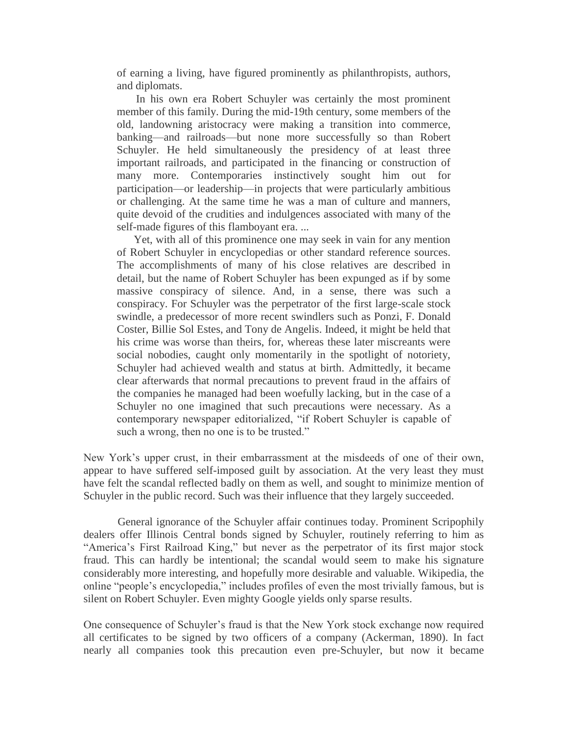of earning a living, have figured prominently as philanthropists, authors, and diplomats.

 In his own era Robert Schuyler was certainly the most prominent member of this family. During the mid-19th century, some members of the old, landowning aristocracy were making a transition into commerce, banking—and railroads—but none more successfully so than Robert Schuyler. He held simultaneously the presidency of at least three important railroads, and participated in the financing or construction of many more. Contemporaries instinctively sought him out for participation—or leadership—in projects that were particularly ambitious or challenging. At the same time he was a man of culture and manners, quite devoid of the crudities and indulgences associated with many of the self-made figures of this flamboyant era. ...

 Yet, with all of this prominence one may seek in vain for any mention of Robert Schuyler in encyclopedias or other standard reference sources. The accomplishments of many of his close relatives are described in detail, but the name of Robert Schuyler has been expunged as if by some massive conspiracy of silence. And, in a sense, there was such a conspiracy. For Schuyler was the perpetrator of the first large-scale stock swindle, a predecessor of more recent swindlers such as Ponzi, F. Donald Coster, Billie Sol Estes, and Tony de Angelis. Indeed, it might be held that his crime was worse than theirs, for, whereas these later miscreants were social nobodies, caught only momentarily in the spotlight of notoriety, Schuyler had achieved wealth and status at birth. Admittedly, it became clear afterwards that normal precautions to prevent fraud in the affairs of the companies he managed had been woefully lacking, but in the case of a Schuyler no one imagined that such precautions were necessary. As a contemporary newspaper editorialized, "if Robert Schuyler is capable of such a wrong, then no one is to be trusted."

New York's upper crust, in their embarrassment at the misdeeds of one of their own, appear to have suffered self-imposed guilt by association. At the very least they must have felt the scandal reflected badly on them as well, and sought to minimize mention of Schuyler in the public record. Such was their influence that they largely succeeded.

 General ignorance of the Schuyler affair continues today. Prominent Scripophily dealers offer Illinois Central bonds signed by Schuyler, routinely referring to him as "America's First Railroad King," but never as the perpetrator of its first major stock fraud. This can hardly be intentional; the scandal would seem to make his signature considerably more interesting, and hopefully more desirable and valuable. Wikipedia, the online "people's encyclopedia," includes profiles of even the most trivially famous, but is silent on Robert Schuyler. Even mighty Google yields only sparse results.

One consequence of Schuyler's fraud is that the New York stock exchange now required all certificates to be signed by two officers of a company (Ackerman, 1890). In fact nearly all companies took this precaution even pre-Schuyler, but now it became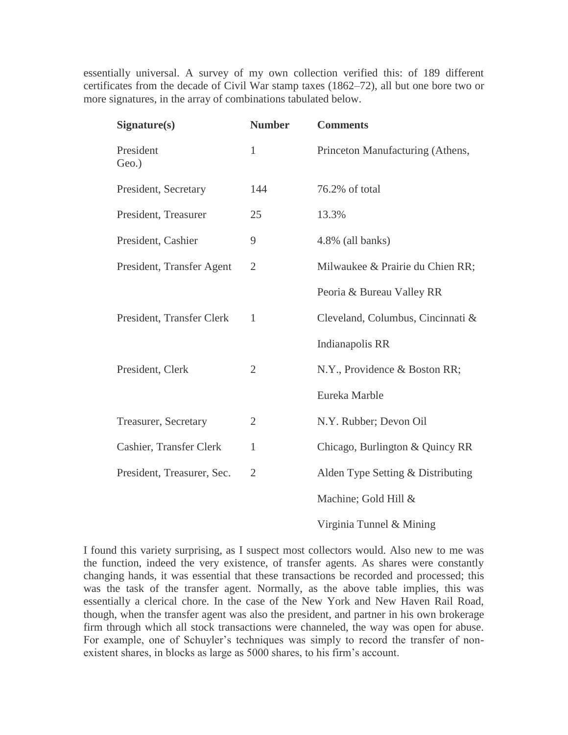essentially universal. A survey of my own collection verified this: of 189 different certificates from the decade of Civil War stamp taxes (1862–72), all but one bore two or more signatures, in the array of combinations tabulated below.

| Signature(s)               | <b>Number</b>  | <b>Comments</b>                   |
|----------------------------|----------------|-----------------------------------|
| President<br>Geo.)         | $\mathbf{1}$   | Princeton Manufacturing (Athens,  |
| President, Secretary       | 144            | 76.2% of total                    |
| President, Treasurer       | 25             | 13.3%                             |
| President, Cashier         | 9              | 4.8% (all banks)                  |
| President, Transfer Agent  | $\overline{2}$ | Milwaukee & Prairie du Chien RR;  |
|                            |                | Peoria & Bureau Valley RR         |
| President, Transfer Clerk  | $\mathbf{1}$   | Cleveland, Columbus, Cincinnati & |
|                            |                | Indianapolis RR                   |
| President, Clerk           | $\overline{2}$ | N.Y., Providence & Boston RR;     |
|                            |                | Eureka Marble                     |
| Treasurer, Secretary       | $\overline{2}$ | N.Y. Rubber; Devon Oil            |
| Cashier, Transfer Clerk    | $\mathbf{1}$   | Chicago, Burlington & Quincy RR   |
| President, Treasurer, Sec. | $\overline{2}$ | Alden Type Setting & Distributing |
|                            |                | Machine; Gold Hill &              |
|                            |                | Virginia Tunnel & Mining          |

I found this variety surprising, as I suspect most collectors would. Also new to me was the function, indeed the very existence, of transfer agents. As shares were constantly changing hands, it was essential that these transactions be recorded and processed; this was the task of the transfer agent. Normally, as the above table implies, this was essentially a clerical chore. In the case of the New York and New Haven Rail Road, though, when the transfer agent was also the president, and partner in his own brokerage firm through which all stock transactions were channeled, the way was open for abuse. For example, one of Schuyler's techniques was simply to record the transfer of nonexistent shares, in blocks as large as 5000 shares, to his firm's account.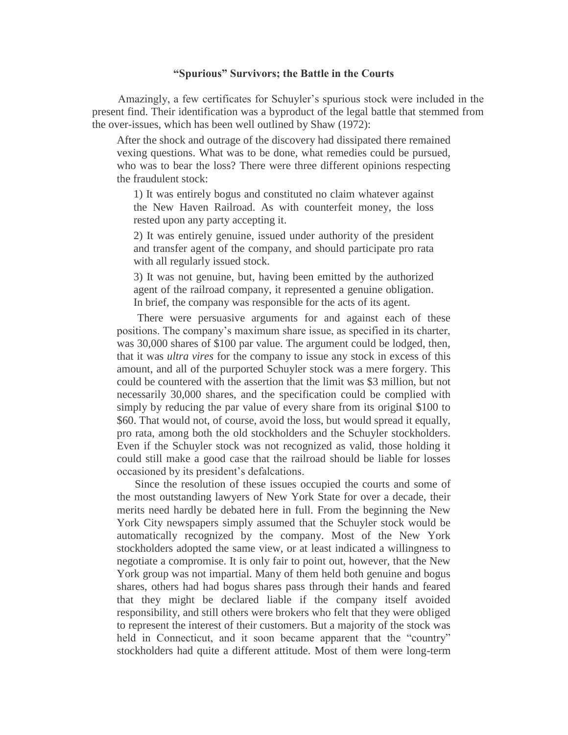#### **"Spurious" Survivors; the Battle in the Courts**

 Amazingly, a few certificates for Schuyler's spurious stock were included in the present find. Their identification was a byproduct of the legal battle that stemmed from the over-issues, which has been well outlined by Shaw (1972):

After the shock and outrage of the discovery had dissipated there remained vexing questions. What was to be done, what remedies could be pursued, who was to bear the loss? There were three different opinions respecting the fraudulent stock:

1) It was entirely bogus and constituted no claim whatever against the New Haven Railroad. As with counterfeit money, the loss rested upon any party accepting it.

2) It was entirely genuine, issued under authority of the president and transfer agent of the company, and should participate pro rata with all regularly issued stock.

3) It was not genuine, but, having been emitted by the authorized agent of the railroad company, it represented a genuine obligation. In brief, the company was responsible for the acts of its agent.

 There were persuasive arguments for and against each of these positions. The company's maximum share issue, as specified in its charter, was 30,000 shares of \$100 par value. The argument could be lodged, then, that it was *ultra vires* for the company to issue any stock in excess of this amount, and all of the purported Schuyler stock was a mere forgery. This could be countered with the assertion that the limit was \$3 million, but not necessarily 30,000 shares, and the specification could be complied with simply by reducing the par value of every share from its original \$100 to \$60. That would not, of course, avoid the loss, but would spread it equally, pro rata, among both the old stockholders and the Schuyler stockholders. Even if the Schuyler stock was not recognized as valid, those holding it could still make a good case that the railroad should be liable for losses occasioned by its president's defalcations.

 Since the resolution of these issues occupied the courts and some of the most outstanding lawyers of New York State for over a decade, their merits need hardly be debated here in full. From the beginning the New York City newspapers simply assumed that the Schuyler stock would be automatically recognized by the company. Most of the New York stockholders adopted the same view, or at least indicated a willingness to negotiate a compromise. It is only fair to point out, however, that the New York group was not impartial. Many of them held both genuine and bogus shares, others had had bogus shares pass through their hands and feared that they might be declared liable if the company itself avoided responsibility, and still others were brokers who felt that they were obliged to represent the interest of their customers. But a majority of the stock was held in Connecticut, and it soon became apparent that the "country" stockholders had quite a different attitude. Most of them were long-term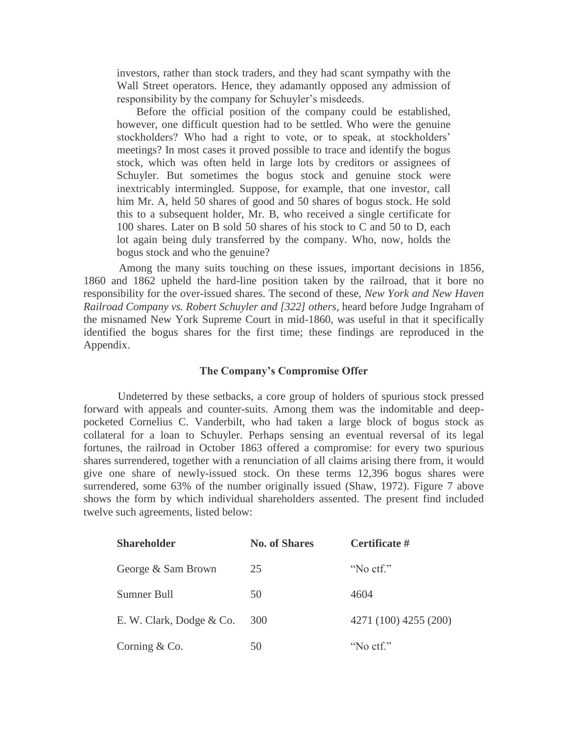investors, rather than stock traders, and they had scant sympathy with the Wall Street operators. Hence, they adamantly opposed any admission of responsibility by the company for Schuyler's misdeeds.

 Before the official position of the company could be established, however, one difficult question had to be settled. Who were the genuine stockholders? Who had a right to vote, or to speak, at stockholders' meetings? In most cases it proved possible to trace and identify the bogus stock, which was often held in large lots by creditors or assignees of Schuyler. But sometimes the bogus stock and genuine stock were inextricably intermingled. Suppose, for example, that one investor, call him Mr. A, held 50 shares of good and 50 shares of bogus stock. He sold this to a subsequent holder, Mr. B, who received a single certificate for 100 shares. Later on B sold 50 shares of his stock to C and 50 to D, each lot again being duly transferred by the company. Who, now, holds the bogus stock and who the genuine?

 Among the many suits touching on these issues, important decisions in 1856, 1860 and 1862 upheld the hard-line position taken by the railroad, that it bore no responsibility for the over-issued shares. The second of these, *New York and New Haven Railroad Company vs. Robert Schuyler and [322] others,* heard before Judge Ingraham of the misnamed New York Supreme Court in mid-1860, was useful in that it specifically identified the bogus shares for the first time; these findings are reproduced in the Appendix.

#### **The Company's Compromise Offer**

 Undeterred by these setbacks, a core group of holders of spurious stock pressed forward with appeals and counter-suits. Among them was the indomitable and deeppocketed Cornelius C. Vanderbilt, who had taken a large block of bogus stock as collateral for a loan to Schuyler. Perhaps sensing an eventual reversal of its legal fortunes, the railroad in October 1863 offered a compromise: for every two spurious shares surrendered, together with a renunciation of all claims arising there from, it would give one share of newly-issued stock. On these terms 12,396 bogus shares were surrendered, some 63% of the number originally issued (Shaw, 1972). Figure 7 above shows the form by which individual shareholders assented. The present find included twelve such agreements, listed below:

| <b>Shareholder</b>       | <b>No. of Shares</b> | Certificate #         |
|--------------------------|----------------------|-----------------------|
| George & Sam Brown       | 25                   | "No ctf."             |
| Sumner Bull              | 50                   | 4604                  |
| E. W. Clark, Dodge & Co. | 300                  | 4271 (100) 4255 (200) |
| Corning $& Co.$          | 50                   | "No ctf."             |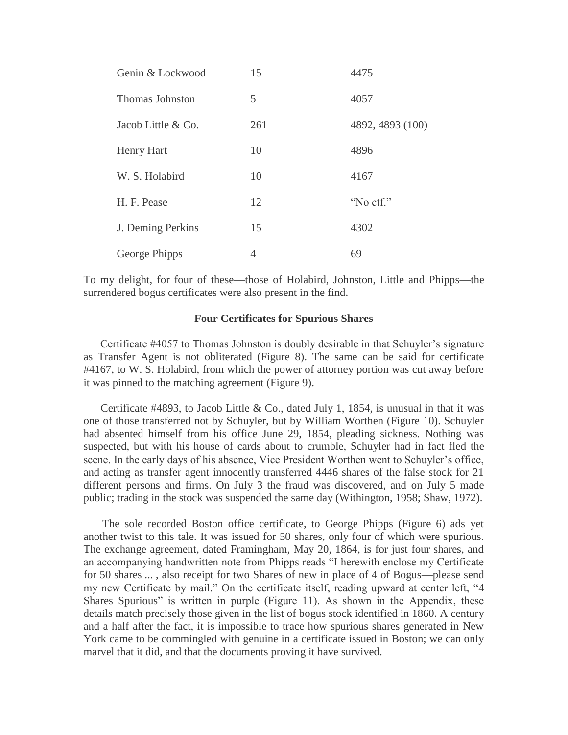| Genin & Lockwood       | 15  | 4475             |
|------------------------|-----|------------------|
| <b>Thomas Johnston</b> | 5   | 4057             |
| Jacob Little & Co.     | 261 | 4892, 4893 (100) |
| Henry Hart             | 10  | 4896             |
| W. S. Holabird         | 10  | 4167             |
| H. F. Pease            | 12  | "No ctf."        |
| J. Deming Perkins      | 15  | 4302             |
| George Phipps          | 4   | 69               |

To my delight, for four of these—those of Holabird, Johnston, Little and Phipps—the surrendered bogus certificates were also present in the find.

#### **Four Certificates for Spurious Shares**

 Certificate #4057 to Thomas Johnston is doubly desirable in that Schuyler's signature as Transfer Agent is not obliterated (Figure 8). The same can be said for certificate #4167, to W. S. Holabird, from which the power of attorney portion was cut away before it was pinned to the matching agreement (Figure 9).

Certificate #4893, to Jacob Little & Co., dated July 1, 1854, is unusual in that it was one of those transferred not by Schuyler, but by William Worthen (Figure 10). Schuyler had absented himself from his office June 29, 1854, pleading sickness. Nothing was suspected, but with his house of cards about to crumble, Schuyler had in fact fled the scene. In the early days of his absence, Vice President Worthen went to Schuyler's office, and acting as transfer agent innocently transferred 4446 shares of the false stock for 21 different persons and firms. On July 3 the fraud was discovered, and on July 5 made public; trading in the stock was suspended the same day (Withington, 1958; Shaw, 1972).

 The sole recorded Boston office certificate, to George Phipps (Figure 6) ads yet another twist to this tale. It was issued for 50 shares, only four of which were spurious. The exchange agreement, dated Framingham, May 20, 1864, is for just four shares, and an accompanying handwritten note from Phipps reads "I herewith enclose my Certificate for 50 shares ... , also receipt for two Shares of new in place of 4 of Bogus—please send my new Certificate by mail." On the certificate itself, reading upward at center left, "4 Shares Spurious" is written in purple (Figure 11). As shown in the Appendix, these details match precisely those given in the list of bogus stock identified in 1860. A century and a half after the fact, it is impossible to trace how spurious shares generated in New York came to be commingled with genuine in a certificate issued in Boston; we can only marvel that it did, and that the documents proving it have survived.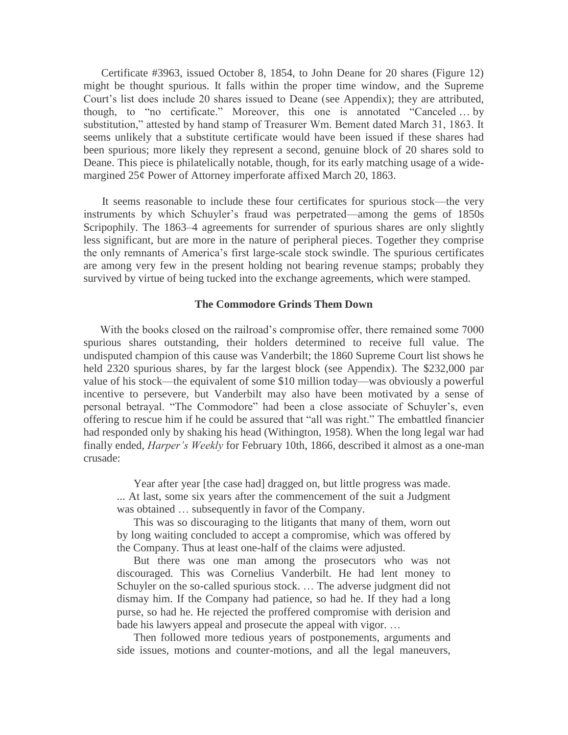Certificate #3963, issued October 8, 1854, to John Deane for 20 shares (Figure 12) might be thought spurious. It falls within the proper time window, and the Supreme Court's list does include 20 shares issued to Deane (see Appendix); they are attributed, though, to "no certificate." Moreover, this one is annotated "Canceled … by substitution," attested by hand stamp of Treasurer Wm. Bement dated March 31, 1863. It seems unlikely that a substitute certificate would have been issued if these shares had been spurious; more likely they represent a second, genuine block of 20 shares sold to Deane. This piece is philatelically notable, though, for its early matching usage of a widemargined 25¢ Power of Attorney imperforate affixed March 20, 1863.

 It seems reasonable to include these four certificates for spurious stock—the very instruments by which Schuyler's fraud was perpetrated—among the gems of 1850s Scripophily. The 1863–4 agreements for surrender of spurious shares are only slightly less significant, but are more in the nature of peripheral pieces. Together they comprise the only remnants of America's first large-scale stock swindle. The spurious certificates are among very few in the present holding not bearing revenue stamps; probably they survived by virtue of being tucked into the exchange agreements, which were stamped.

#### **The Commodore Grinds Them Down**

With the books closed on the railroad's compromise offer, there remained some 7000 spurious shares outstanding, their holders determined to receive full value. The undisputed champion of this cause was Vanderbilt; the 1860 Supreme Court list shows he held 2320 spurious shares, by far the largest block (see Appendix). The \$232,000 par value of his stock—the equivalent of some \$10 million today—was obviously a powerful incentive to persevere, but Vanderbilt may also have been motivated by a sense of personal betrayal. "The Commodore" had been a close associate of Schuyler's, even offering to rescue him if he could be assured that "all was right." The embattled financier had responded only by shaking his head (Withington, 1958). When the long legal war had finally ended, *Harper's Weekly* for February 10th, 1866, described it almost as a one-man crusade:

Year after year [the case had] dragged on, but little progress was made.

... At last, some six years after the commencement of the suit a Judgment was obtained … subsequently in favor of the Company.

This was so discouraging to the litigants that many of them, worn out by long waiting concluded to accept a compromise, which was offered by the Company. Thus at least one-half of the claims were adjusted.

But there was one man among the prosecutors who was not discouraged. This was Cornelius Vanderbilt. He had lent money to Schuyler on the so-called spurious stock. … The adverse judgment did not dismay him. If the Company had patience, so had he. If they had a long purse, so had he. He rejected the proffered compromise with derision and bade his lawyers appeal and prosecute the appeal with vigor. …

Then followed more tedious years of postponements, arguments and side issues, motions and counter-motions, and all the legal maneuvers,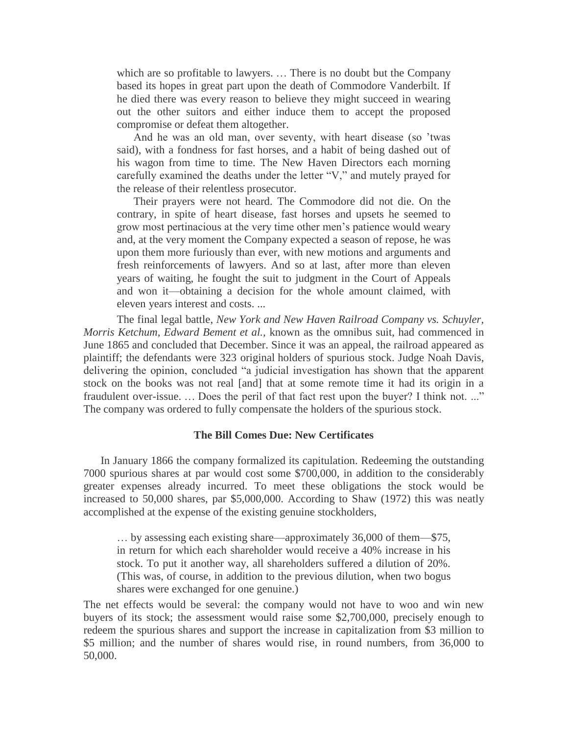which are so profitable to lawyers. … There is no doubt but the Company based its hopes in great part upon the death of Commodore Vanderbilt. If he died there was every reason to believe they might succeed in wearing out the other suitors and either induce them to accept the proposed compromise or defeat them altogether.

And he was an old man, over seventy, with heart disease (so 'twas said), with a fondness for fast horses, and a habit of being dashed out of his wagon from time to time. The New Haven Directors each morning carefully examined the deaths under the letter "V," and mutely prayed for the release of their relentless prosecutor.

Their prayers were not heard. The Commodore did not die. On the contrary, in spite of heart disease, fast horses and upsets he seemed to grow most pertinacious at the very time other men's patience would weary and, at the very moment the Company expected a season of repose, he was upon them more furiously than ever, with new motions and arguments and fresh reinforcements of lawyers. And so at last, after more than eleven years of waiting, he fought the suit to judgment in the Court of Appeals and won it—obtaining a decision for the whole amount claimed, with eleven years interest and costs. ...

The final legal battle, *New York and New Haven Railroad Company vs. Schuyler, Morris Ketchum, Edward Bement et al.,* known as the omnibus suit, had commenced in June 1865 and concluded that December. Since it was an appeal, the railroad appeared as plaintiff; the defendants were 323 original holders of spurious stock. Judge Noah Davis, delivering the opinion, concluded "a judicial investigation has shown that the apparent stock on the books was not real [and] that at some remote time it had its origin in a fraudulent over-issue. ... Does the peril of that fact rest upon the buyer? I think not. ..." The company was ordered to fully compensate the holders of the spurious stock.

#### **The Bill Comes Due: New Certificates**

 In January 1866 the company formalized its capitulation. Redeeming the outstanding 7000 spurious shares at par would cost some \$700,000, in addition to the considerably greater expenses already incurred. To meet these obligations the stock would be increased to 50,000 shares, par \$5,000,000. According to Shaw (1972) this was neatly accomplished at the expense of the existing genuine stockholders,

… by assessing each existing share—approximately 36,000 of them—\$75, in return for which each shareholder would receive a 40% increase in his stock. To put it another way, all shareholders suffered a dilution of 20%. (This was, of course, in addition to the previous dilution, when two bogus shares were exchanged for one genuine.)

The net effects would be several: the company would not have to woo and win new buyers of its stock; the assessment would raise some \$2,700,000, precisely enough to redeem the spurious shares and support the increase in capitalization from \$3 million to \$5 million; and the number of shares would rise, in round numbers, from 36,000 to 50,000.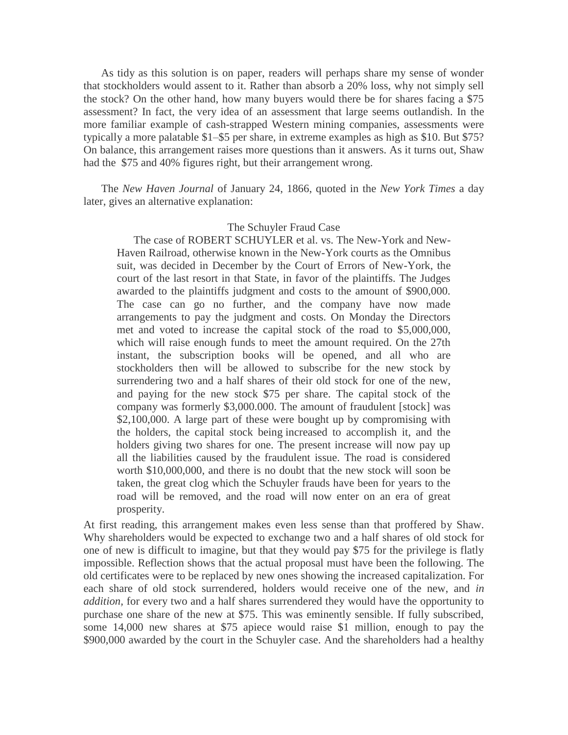As tidy as this solution is on paper, readers will perhaps share my sense of wonder that stockholders would assent to it. Rather than absorb a 20% loss, why not simply sell the stock? On the other hand, how many buyers would there be for shares facing a \$75 assessment? In fact, the very idea of an assessment that large seems outlandish. In the more familiar example of cash-strapped Western mining companies, assessments were typically a more palatable \$1–\$5 per share, in extreme examples as high as \$10. But \$75? On balance, this arrangement raises more questions than it answers. As it turns out, Shaw had the \$75 and 40% figures right, but their arrangement wrong.

 The *New Haven Journal* of January 24, 1866, quoted in the *New York Times* a day later, gives an alternative explanation:

### The Schuyler Fraud Case

 The case of ROBERT SCHUYLER et al. vs. The New-York and New-Haven Railroad, otherwise known in the New-York courts as the Omnibus suit, was decided in December by the Court of Errors of New-York, the court of the last resort in that State, in favor of the plaintiffs. The Judges awarded to the plaintiffs judgment and costs to the amount of \$900,000. The case can go no further, and the company have now made arrangements to pay the judgment and costs. On Monday the Directors met and voted to increase the capital stock of the road to \$5,000,000, which will raise enough funds to meet the amount required. On the 27th instant, the subscription books will be opened, and all who are stockholders then will be allowed to subscribe for the new stock by surrendering two and a half shares of their old stock for one of the new, and paying for the new stock \$75 per share. The capital stock of the company was formerly \$3,000.000. The amount of fraudulent [stock] was \$2,100,000. A large part of these were bought up by compromising with the holders, the capital stock being increased to accomplish it, and the holders giving two shares for one. The present increase will now pay up all the liabilities caused by the fraudulent issue. The road is considered worth \$10,000,000, and there is no doubt that the new stock will soon be taken, the great clog which the Schuyler frauds have been for years to the road will be removed, and the road will now enter on an era of great prosperity.

At first reading, this arrangement makes even less sense than that proffered by Shaw. Why shareholders would be expected to exchange two and a half shares of old stock for one of new is difficult to imagine, but that they would pay \$75 for the privilege is flatly impossible. Reflection shows that the actual proposal must have been the following. The old certificates were to be replaced by new ones showing the increased capitalization. For each share of old stock surrendered, holders would receive one of the new, and *in addition,* for every two and a half shares surrendered they would have the opportunity to purchase one share of the new at \$75. This was eminently sensible. If fully subscribed, some 14,000 new shares at \$75 apiece would raise \$1 million, enough to pay the \$900,000 awarded by the court in the Schuyler case. And the shareholders had a healthy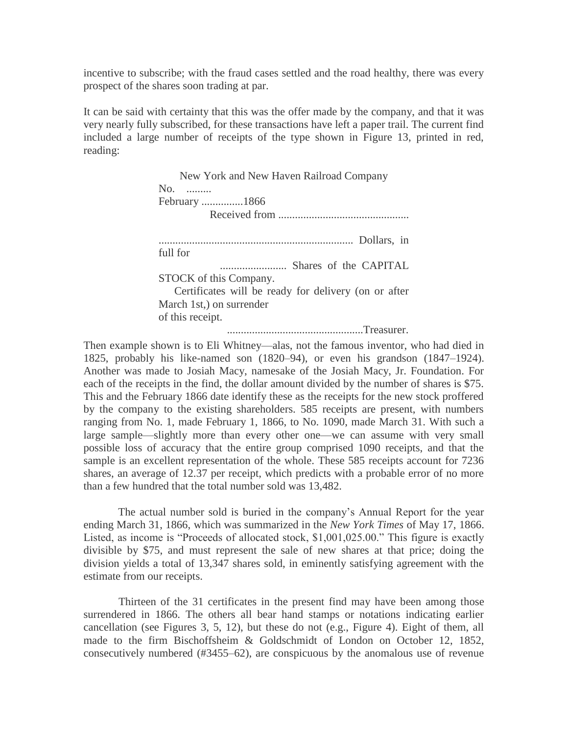incentive to subscribe; with the fraud cases settled and the road healthy, there was every prospect of the shares soon trading at par.

It can be said with certainty that this was the offer made by the company, and that it was very nearly fully subscribed, for these transactions have left a paper trail. The current find included a large number of receipts of the type shown in Figure 13, printed in red, reading:

> New York and New Haven Railroad Company No. ......... February ...............1866 Received from ............................................... ...................................................................... Dollars, in full for ........................ Shares of the CAPITAL STOCK of this Company. Certificates will be ready for delivery (on or after March 1st,) on surrender of this receipt.

.................................................Treasurer.

Then example shown is to Eli Whitney—alas, not the famous inventor, who had died in 1825, probably his like-named son (1820–94), or even his grandson (1847–1924). Another was made to Josiah Macy, namesake of the Josiah Macy, Jr. Foundation. For each of the receipts in the find, the dollar amount divided by the number of shares is \$75. This and the February 1866 date identify these as the receipts for the new stock proffered by the company to the existing shareholders. 585 receipts are present, with numbers ranging from No. 1, made February 1, 1866, to No. 1090, made March 31. With such a large sample—slightly more than every other one—we can assume with very small possible loss of accuracy that the entire group comprised 1090 receipts, and that the sample is an excellent representation of the whole. These 585 receipts account for 7236 shares, an average of 12.37 per receipt, which predicts with a probable error of no more than a few hundred that the total number sold was 13,482.

 The actual number sold is buried in the company's Annual Report for the year ending March 31, 1866, which was summarized in the *New York Times* of May 17, 1866. Listed, as income is "Proceeds of allocated stock, \$1,001,025.00." This figure is exactly divisible by \$75, and must represent the sale of new shares at that price; doing the division yields a total of 13,347 shares sold, in eminently satisfying agreement with the estimate from our receipts.

 Thirteen of the 31 certificates in the present find may have been among those surrendered in 1866. The others all bear hand stamps or notations indicating earlier cancellation (see Figures 3, 5, 12), but these do not (e.g., Figure 4). Eight of them, all made to the firm Bischoffsheim & Goldschmidt of London on October 12, 1852, consecutively numbered (#3455–62), are conspicuous by the anomalous use of revenue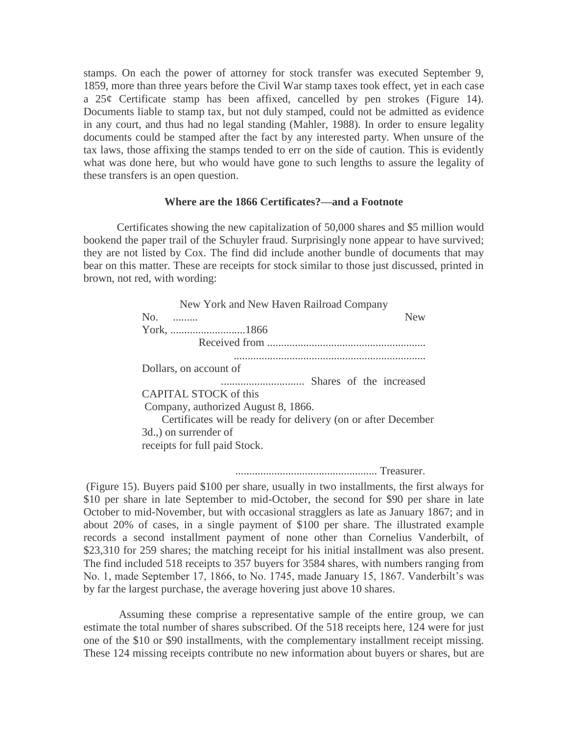stamps. On each the power of attorney for stock transfer was executed September 9, 1859, more than three years before the Civil War stamp taxes took effect, yet in each case a 25¢ Certificate stamp has been affixed, cancelled by pen strokes (Figure 14). Documents liable to stamp tax, but not duly stamped, could not be admitted as evidence in any court, and thus had no legal standing (Mahler, 1988). In order to ensure legality documents could be stamped after the fact by any interested party. When unsure of the tax laws, those affixing the stamps tended to err on the side of caution. This is evidently what was done here, but who would have gone to such lengths to assure the legality of these transfers is an open question.

#### **Where are the 1866 Certificates?—and a Footnote**

 Certificates showing the new capitalization of 50,000 shares and \$5 million would bookend the paper trail of the Schuyler fraud. Surprisingly none appear to have survived; they are not listed by Cox. The find did include another bundle of documents that may bear on this matter. These are receipts for stock similar to those just discussed, printed in brown, not red, with wording:

| New York and New Haven Railroad Company                       |
|---------------------------------------------------------------|
| No.<br><b>New</b>                                             |
|                                                               |
| Received from                                                 |
|                                                               |
| Dollars, on account of                                        |
|                                                               |
| CAPITAL STOCK of this                                         |
| Company, authorized August 8, 1866.                           |
| Certificates will be ready for delivery (on or after December |
| 3d., on surrender of                                          |
| receipts for full paid Stock.                                 |

................................................... Treasurer.

(Figure 15). Buyers paid \$100 per share, usually in two installments, the first always for \$10 per share in late September to mid-October, the second for \$90 per share in late October to mid-November, but with occasional stragglers as late as January 1867; and in about 20% of cases, in a single payment of \$100 per share. The illustrated example records a second installment payment of none other than Cornelius Vanderbilt, of \$23,310 for 259 shares; the matching receipt for his initial installment was also present. The find included 518 receipts to 357 buyers for 3584 shares, with numbers ranging from No. 1, made September 17, 1866, to No. 1745, made January 15, 1867. Vanderbilt's was by far the largest purchase, the average hovering just above 10 shares.

 Assuming these comprise a representative sample of the entire group, we can estimate the total number of shares subscribed. Of the 518 receipts here, 124 were for just one of the \$10 or \$90 installments, with the complementary installment receipt missing. These 124 missing receipts contribute no new information about buyers or shares, but are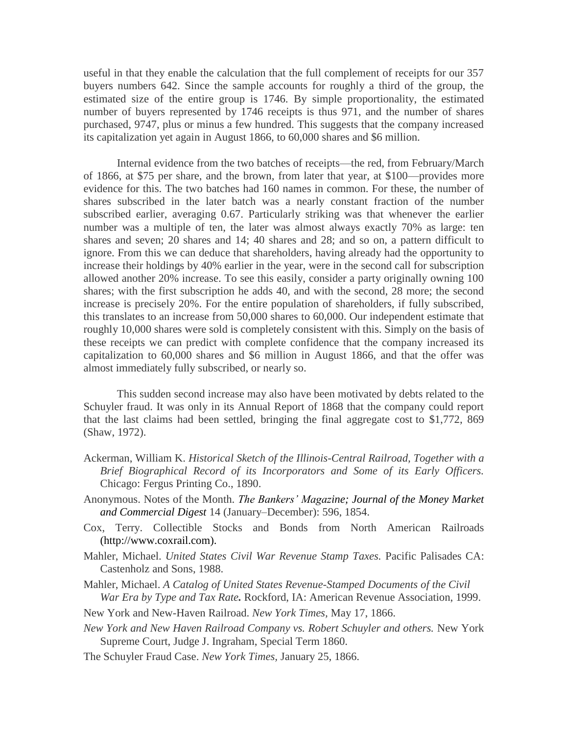useful in that they enable the calculation that the full complement of receipts for our 357 buyers numbers 642. Since the sample accounts for roughly a third of the group, the estimated size of the entire group is 1746. By simple proportionality, the estimated number of buyers represented by 1746 receipts is thus 971, and the number of shares purchased, 9747, plus or minus a few hundred. This suggests that the company increased its capitalization yet again in August 1866, to 60,000 shares and \$6 million.

 Internal evidence from the two batches of receipts—the red, from February/March of 1866, at \$75 per share, and the brown, from later that year, at \$100—provides more evidence for this. The two batches had 160 names in common. For these, the number of shares subscribed in the later batch was a nearly constant fraction of the number subscribed earlier, averaging 0.67. Particularly striking was that whenever the earlier number was a multiple of ten, the later was almost always exactly 70% as large: ten shares and seven; 20 shares and 14; 40 shares and 28; and so on, a pattern difficult to ignore. From this we can deduce that shareholders, having already had the opportunity to increase their holdings by 40% earlier in the year, were in the second call for subscription allowed another 20% increase. To see this easily, consider a party originally owning 100 shares; with the first subscription he adds 40, and with the second, 28 more; the second increase is precisely 20%. For the entire population of shareholders, if fully subscribed, this translates to an increase from 50,000 shares to 60,000. Our independent estimate that roughly 10,000 shares were sold is completely consistent with this. Simply on the basis of these receipts we can predict with complete confidence that the company increased its capitalization to 60,000 shares and \$6 million in August 1866, and that the offer was almost immediately fully subscribed, or nearly so.

 This sudden second increase may also have been motivated by debts related to the Schuyler fraud. It was only in its Annual Report of 1868 that the company could report that the last claims had been settled, bringing the final aggregate cost to \$1,772, 869 (Shaw, 1972).

- Ackerman, William K. *Historical Sketch of the Illinois-Central Railroad, Together with a Brief Biographical Record of its Incorporators and Some of its Early Officers.* Chicago: Fergus Printing Co., 1890.
- Anonymous. Notes of the Month. *The Bankers' Magazine; Journal of the Money Market and Commercial Digest* 14 (January–December): 596, 1854.
- Cox, Terry. Collectible Stocks and Bonds from North American Railroads [\(http://www.coxrail.com\)](http://www.coxrail.com/).
- Mahler, Michael. *United States Civil War Revenue Stamp Taxes.* Pacific Palisades CA: Castenholz and Sons, 1988.
- Mahler, Michael. *A Catalog of United States Revenue-Stamped Documents of the Civil War Era by Type and Tax Rate.* Rockford, IA: American Revenue Association, 1999.
- New York and New-Haven Railroad. *New York Times,* May 17, 1866.
- *New York and New Haven Railroad Company vs. Robert Schuyler and others.* New York Supreme Court, Judge J. Ingraham, Special Term 1860.
- The Schuyler Fraud Case. *New York Times,* January 25, 1866.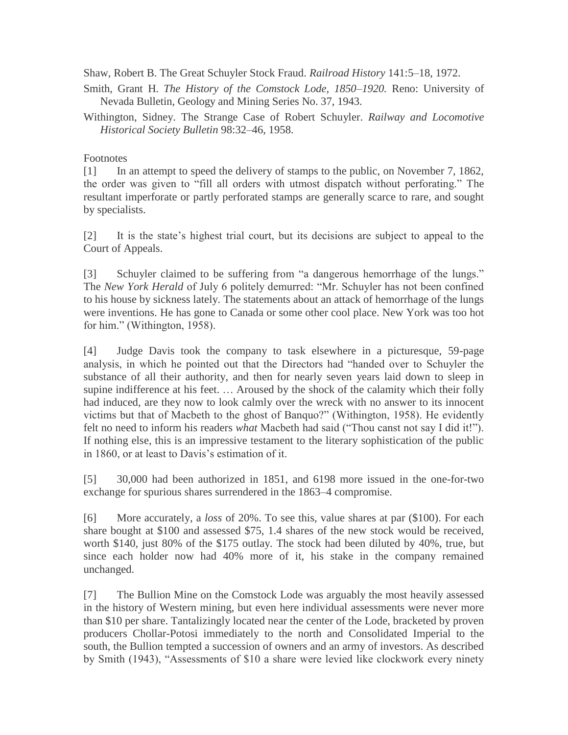Shaw, Robert B. The Great Schuyler Stock Fraud. *Railroad History* 141:5–18, 1972.

Smith, Grant H. *The History of the Comstock Lode, 1850–1920.* Reno: University of Nevada Bulletin, Geology and Mining Series No. 37, 1943.

Withington, Sidney. The Strange Case of Robert Schuyler. *Railway and Locomotive Historical Society Bulletin* 98:32–46, 1958.

## Footnotes

[1] In an attempt to speed the delivery of stamps to the public, on November 7, 1862, the order was given to "fill all orders with utmost dispatch without perforating." The resultant imperforate or partly perforated stamps are generally scarce to rare, and sought by specialists.

[2] It is the state's highest trial court, but its decisions are subject to appeal to the Court of Appeals.

[3] Schuyler claimed to be suffering from "a dangerous hemorrhage of the lungs." The *New York Herald* of July 6 politely demurred: "Mr. Schuyler has not been confined to his house by sickness lately. The statements about an attack of hemorrhage of the lungs were inventions. He has gone to Canada or some other cool place. New York was too hot for him." (Withington, 1958).

[4] Judge Davis took the company to task elsewhere in a picturesque, 59-page analysis, in which he pointed out that the Directors had "handed over to Schuyler the substance of all their authority, and then for nearly seven years laid down to sleep in supine indifference at his feet. … Aroused by the shock of the calamity which their folly had induced, are they now to look calmly over the wreck with no answer to its innocent victims but that of Macbeth to the ghost of Banquo?" (Withington, 1958). He evidently felt no need to inform his readers *what* Macbeth had said ("Thou canst not say I did it!"). If nothing else, this is an impressive testament to the literary sophistication of the public in 1860, or at least to Davis's estimation of it.

[5] 30,000 had been authorized in 1851, and 6198 more issued in the one-for-two exchange for spurious shares surrendered in the 1863–4 compromise.

[6] More accurately, a *loss* of 20%. To see this, value shares at par (\$100). For each share bought at \$100 and assessed \$75, 1.4 shares of the new stock would be received, worth \$140, just 80% of the \$175 outlay. The stock had been diluted by 40%, true, but since each holder now had 40% more of it, his stake in the company remained unchanged.

[7] The Bullion Mine on the Comstock Lode was arguably the most heavily assessed in the history of Western mining, but even here individual assessments were never more than \$10 per share. Tantalizingly located near the center of the Lode, bracketed by proven producers Chollar-Potosi immediately to the north and Consolidated Imperial to the south, the Bullion tempted a succession of owners and an army of investors. As described by Smith (1943), "Assessments of \$10 a share were levied like clockwork every ninety